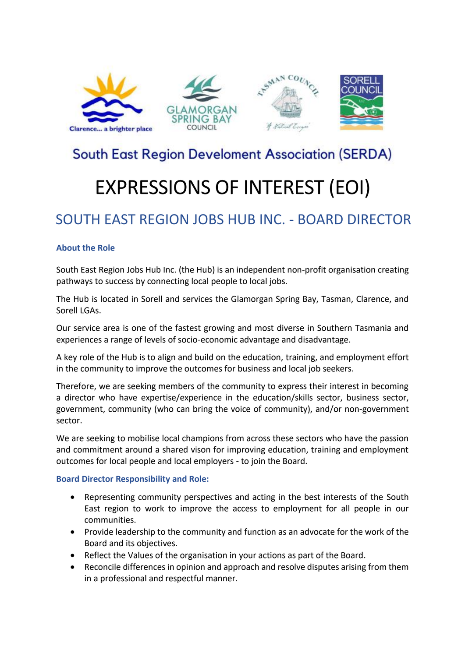

## **South East Region Develoment Association (SERDA)**

# EXPRESSIONS OF INTEREST (EOI)

## SOUTH EAST REGION JOBS HUB INC. - BOARD DIRECTOR

#### **About the Role**

South East Region Jobs Hub Inc. (the Hub) is an independent non-profit organisation creating pathways to success by connecting local people to local jobs.

The Hub is located in Sorell and services the Glamorgan Spring Bay, Tasman, Clarence, and Sorell LGAs.

Our service area is one of the fastest growing and most diverse in Southern Tasmania and experiences a range of levels of socio-economic advantage and disadvantage.

A key role of the Hub is to align and build on the education, training, and employment effort in the community to improve the outcomes for business and local job seekers.

Therefore, we are seeking members of the community to express their interest in becoming a director who have expertise/experience in the education/skills sector, business sector, government, community (who can bring the voice of community), and/or non-government sector.

We are seeking to mobilise local champions from across these sectors who have the passion and commitment around a shared vison for improving education, training and employment outcomes for local people and local employers - to join the Board.

#### **Board Director Responsibility and Role:**

- Representing community perspectives and acting in the best interests of the South East region to work to improve the access to employment for all people in our communities.
- Provide leadership to the community and function as an advocate for the work of the Board and its objectives.
- Reflect the Values of the organisation in your actions as part of the Board.
- Reconcile differences in opinion and approach and resolve disputes arising from them in a professional and respectful manner.